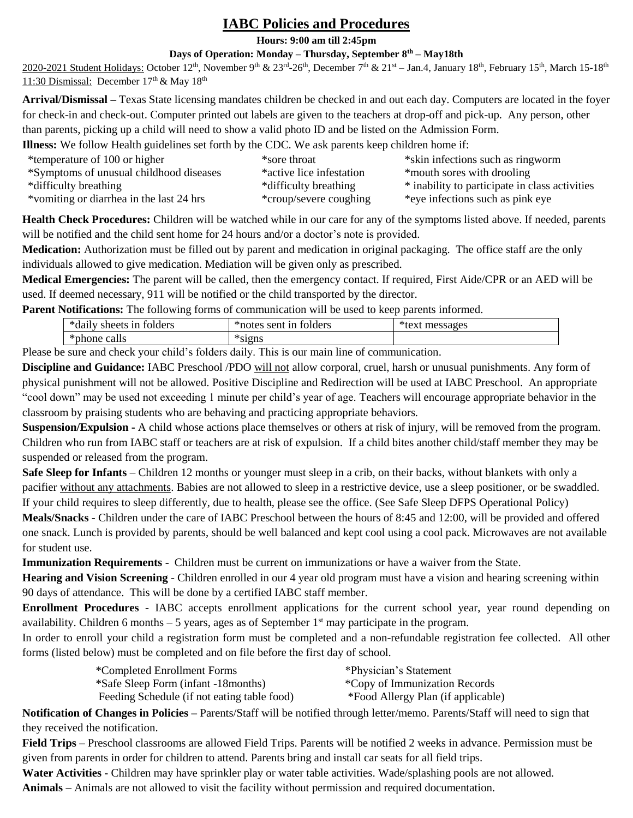## **IABC Policies and Procedures**

**Hours: 9:00 am till 2:45pm**

## **Days of Operation: Monday – Thursday, September 8th – May18th**

 $2020$ -2021 Student Holidays: October 12<sup>th</sup>, November 9<sup>th</sup> & 23<sup>rd</sup>-26<sup>th</sup>, December 7<sup>th</sup> & 21<sup>st</sup> – Jan.4, January 18<sup>th</sup>, February 15<sup>th</sup>, March 15-18<sup>th</sup> 11:30 Dismissal: December  $17<sup>th</sup>$  & May  $18<sup>th</sup>$ 

**Arrival/Dismissal –** Texas State licensing mandates children be checked in and out each day. Computers are located in the foyer for check-in and check-out. Computer printed out labels are given to the teachers at drop-off and pick-up. Any person, other than parents, picking up a child will need to show a valid photo ID and be listed on the Admission Form.

**Illness:** We follow Health guidelines set forth by the CDC. We ask parents keep children home if:

| *temperature of 100 or higher            | *sore throat             | *skin infections such as ringworm              |
|------------------------------------------|--------------------------|------------------------------------------------|
| *Symptoms of unusual childhood diseases  | *active lice infestation | *mouth sores with drooling                     |
| *difficulty breathing                    | *difficulty breathing    | * inability to participate in class activities |
| *vomiting or diarrhea in the last 24 hrs | *croup/severe coughing   | *eye infections such as pink eye               |

**Health Check Procedures:** Children will be watched while in our care for any of the symptoms listed above. If needed, parents will be notified and the child sent home for 24 hours and/or a doctor's note is provided.

**Medication:** Authorization must be filled out by parent and medication in original packaging. The office staff are the only individuals allowed to give medication. Mediation will be given only as prescribed.

**Medical Emergencies:** The parent will be called, then the emergency contact. If required, First Aide/CPR or an AED will be used. If deemed necessary, 911 will be notified or the child transported by the director.

**Parent Notifications:** The following forms of communication will be used to keep parents informed.

| $\mathbf{A}$<br>folders<br>sheets<br>1n<br>uali | $\mathbf{A}$<br>folders<br>*notes<br>sent<br>1n | ـ ملڪ<br>$-7 - 1$<br>ισρκ<br>mes<br>いへい<br>- - - - - |
|-------------------------------------------------|-------------------------------------------------|------------------------------------------------------|
| $\mathbf{A}$<br>calls<br>*phone.<br>ΩΩ          | $\mathbf{A}$<br><u> ጥር1 ጠ1</u><br>ычнэ          |                                                      |

Please be sure and check your child's folders daily. This is our main line of communication.

**Discipline and Guidance:** IABC Preschool /PDO will not allow corporal, cruel, harsh or unusual punishments. Any form of physical punishment will not be allowed. Positive Discipline and Redirection will be used at IABC Preschool. An appropriate "cool down" may be used not exceeding 1 minute per child's year of age. Teachers will encourage appropriate behavior in the classroom by praising students who are behaving and practicing appropriate behaviors.

**Suspension/Expulsion -** A child whose actions place themselves or others at risk of injury, will be removed from the program. Children who run from IABC staff or teachers are at risk of expulsion. If a child bites another child/staff member they may be suspended or released from the program.

**Safe Sleep for Infants** – Children 12 months or younger must sleep in a crib, on their backs, without blankets with only a pacifier without any attachments. Babies are not allowed to sleep in a restrictive device, use a sleep positioner, or be swaddled. If your child requires to sleep differently, due to health, please see the office. (See Safe Sleep DFPS Operational Policy)

**Meals/Snacks -** Children under the care of IABC Preschool between the hours of 8:45 and 12:00, will be provided and offered one snack. Lunch is provided by parents, should be well balanced and kept cool using a cool pack. Microwaves are not available for student use.

**Immunization Requirements** - Children must be current on immunizations or have a waiver from the State.

**Hearing and Vision Screening** - Children enrolled in our 4 year old program must have a vision and hearing screening within 90 days of attendance. This will be done by a certified IABC staff member.

**Enrollment Procedures -** IABC accepts enrollment applications for the current school year, year round depending on availability. Children 6 months  $-5$  years, ages as of September 1<sup>st</sup> may participate in the program.

In order to enroll your child a registration form must be completed and a non-refundable registration fee collected. All other forms (listed below) must be completed and on file before the first day of school.

| *Completed Enrollment Forms                 | *Physician's Statement             |
|---------------------------------------------|------------------------------------|
| *Safe Sleep Form (infant -18 months)        | *Copy of Immunization Records      |
| Feeding Schedule (if not eating table food) | *Food Allergy Plan (if applicable) |

**Notification of Changes in Policies –** Parents/Staff will be notified through letter/memo. Parents/Staff will need to sign that they received the notification.

**Field Trips** – Preschool classrooms are allowed Field Trips. Parents will be notified 2 weeks in advance. Permission must be given from parents in order for children to attend. Parents bring and install car seats for all field trips.

**Water Activities -** Children may have sprinkler play or water table activities. Wade/splashing pools are not allowed.

**Animals –** Animals are not allowed to visit the facility without permission and required documentation.